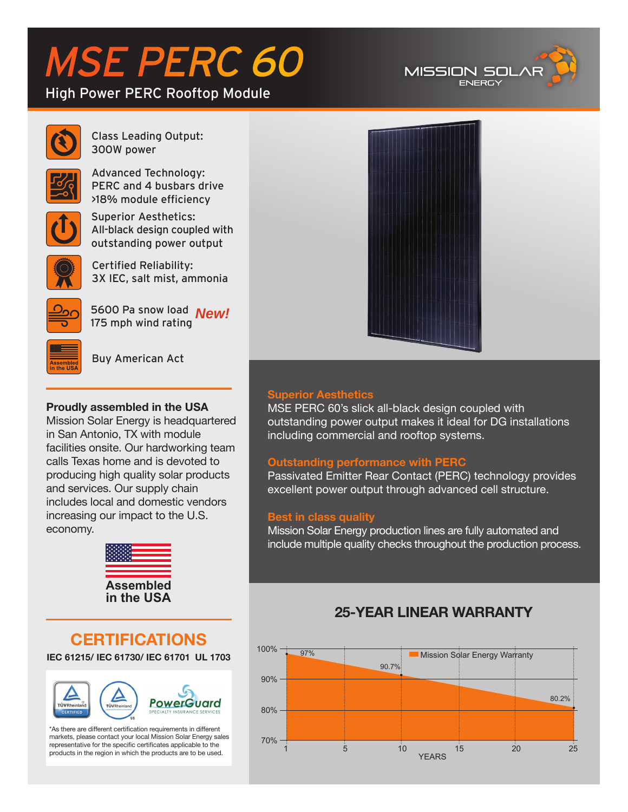# MSE PERC 60

### High Power PERC Rooftop Module





Class Leading Output: 300W power

Advanced Technology: PERC and 4 busbars drive >18% module efficiency



Superior Aesthetics: All-black design coupled with outstanding power output



Certified Reliability: 3X IEC, salt mist, ammonia



5600 Pa snow load *New!*175 mph wind rating



Buy American Act

#### **Proudly assembled in the USA**

Mission Solar Energy is headquartered in San Antonio, TX with module facilities onsite. Our hardworking team calls Texas home and is devoted to producing high quality solar products and services. Our supply chain includes local and domestic vendors increasing our impact to the U.S. economy.



#### **CERTIFICATIONS IEC 61215/ IEC 61730/ IEC 61701 UL 1703**



\*As there are different certification requirements in different markets, please contact your local Mission Solar Energy sales representative for the specific certificates applicable to the products in the region in which the products are to be used.



#### **Superior Aesthetics**

MSE PERC 60's slick all-black design coupled with outstanding power output makes it ideal for DG installations including commercial and rooftop systems.

#### **Outstanding performance with PERC**

Passivated Emitter Rear Contact (PERC) technology provides excellent power output through advanced cell structure.

#### **Best in class quality**

Mission Solar Energy production lines are fully automated and include multiple quality checks throughout the production process.

## **25-YEAR LINEAR WARRANTY**